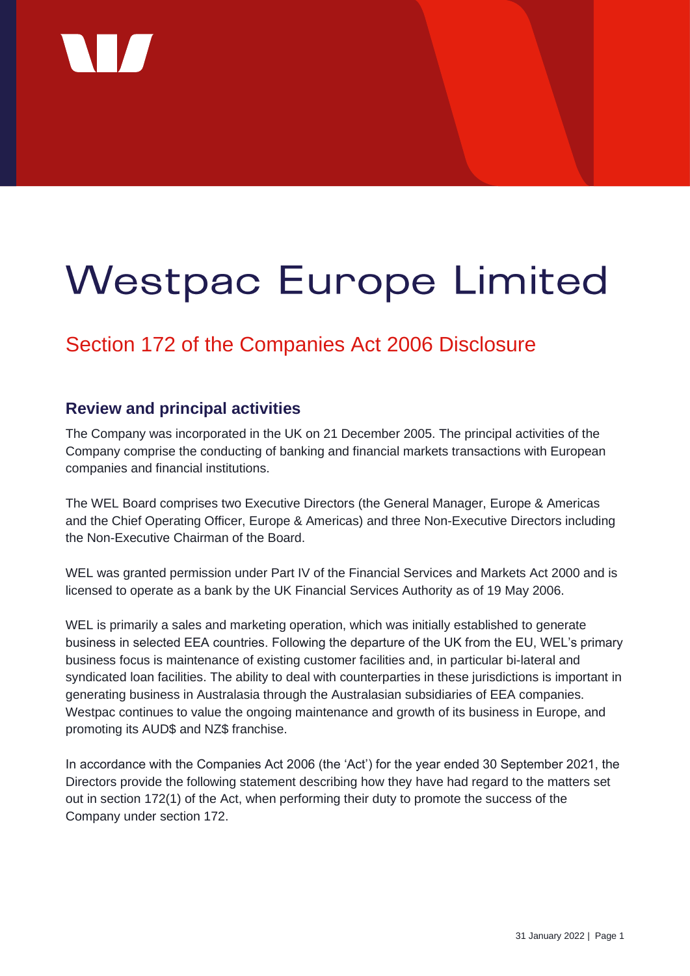

# **Westpac Europe Limited**

# Section 172 of the Companies Act 2006 Disclosure

## **Review and principal activities**

The Company was incorporated in the UK on 21 December 2005. The principal activities of the Company comprise the conducting of banking and financial markets transactions with European companies and financial institutions.

The WEL Board comprises two Executive Directors (the General Manager, Europe & Americas and the Chief Operating Officer, Europe & Americas) and three Non-Executive Directors including the Non-Executive Chairman of the Board.

WEL was granted permission under Part IV of the Financial Services and Markets Act 2000 and is licensed to operate as a bank by the UK Financial Services Authority as of 19 May 2006.

WEL is primarily a sales and marketing operation, which was initially established to generate business in selected EEA countries. Following the departure of the UK from the EU, WEL's primary business focus is maintenance of existing customer facilities and, in particular bi-lateral and syndicated loan facilities. The ability to deal with counterparties in these jurisdictions is important in generating business in Australasia through the Australasian subsidiaries of EEA companies. Westpac continues to value the ongoing maintenance and growth of its business in Europe, and promoting its AUD\$ and NZ\$ franchise.

In accordance with the Companies Act 2006 (the 'Act') for the year ended 30 September 2021, the Directors provide the following statement describing how they have had regard to the matters set out in section 172(1) of the Act, when performing their duty to promote the success of the Company under section 172.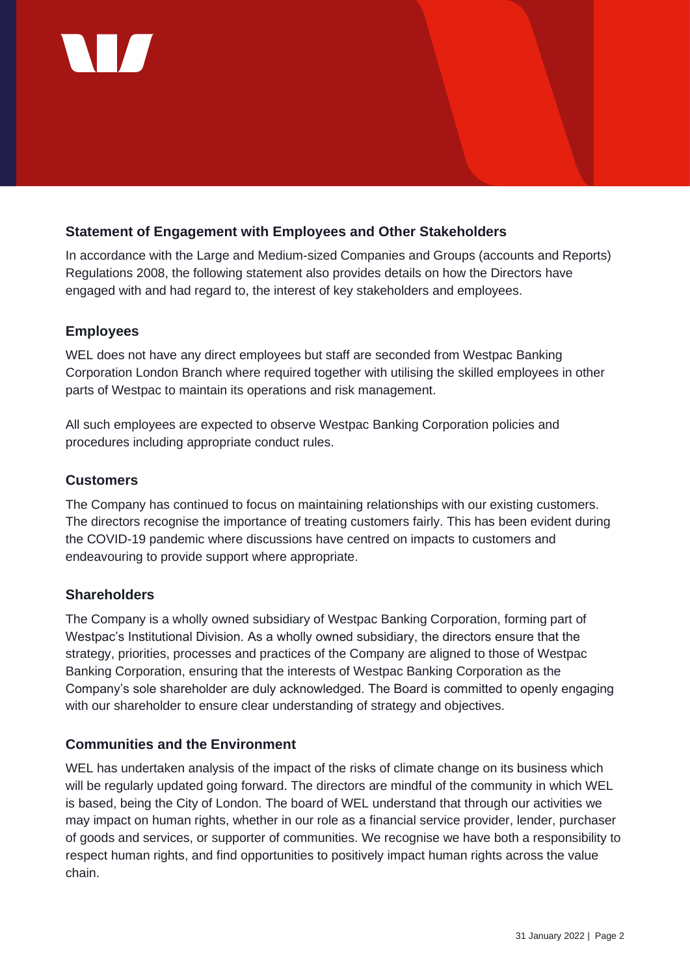

#### **Statement of Engagement with Employees and Other Stakeholders**

In accordance with the Large and Medium-sized Companies and Groups (accounts and Reports) Regulations 2008, the following statement also provides details on how the Directors have engaged with and had regard to, the interest of key stakeholders and employees.

#### **Employees**

WEL does not have any direct employees but staff are seconded from Westpac Banking Corporation London Branch where required together with utilising the skilled employees in other parts of Westpac to maintain its operations and risk management.

All such employees are expected to observe Westpac Banking Corporation policies and procedures including appropriate conduct rules.

#### **Customers**

The Company has continued to focus on maintaining relationships with our existing customers. The directors recognise the importance of treating customers fairly. This has been evident during the COVID-19 pandemic where discussions have centred on impacts to customers and endeavouring to provide support where appropriate.

#### **Shareholders**

The Company is a wholly owned subsidiary of Westpac Banking Corporation, forming part of Westpac's Institutional Division. As a wholly owned subsidiary, the directors ensure that the strategy, priorities, processes and practices of the Company are aligned to those of Westpac Banking Corporation, ensuring that the interests of Westpac Banking Corporation as the Company's sole shareholder are duly acknowledged. The Board is committed to openly engaging with our shareholder to ensure clear understanding of strategy and objectives.

#### **Communities and the Environment**

WEL has undertaken analysis of the impact of the risks of climate change on its business which will be regularly updated going forward. The directors are mindful of the community in which WEL is based, being the City of London. The board of WEL understand that through our activities we may impact on human rights, whether in our role as a financial service provider, lender, purchaser of goods and services, or supporter of communities. We recognise we have both a responsibility to respect human rights, and find opportunities to positively impact human rights across the value chain.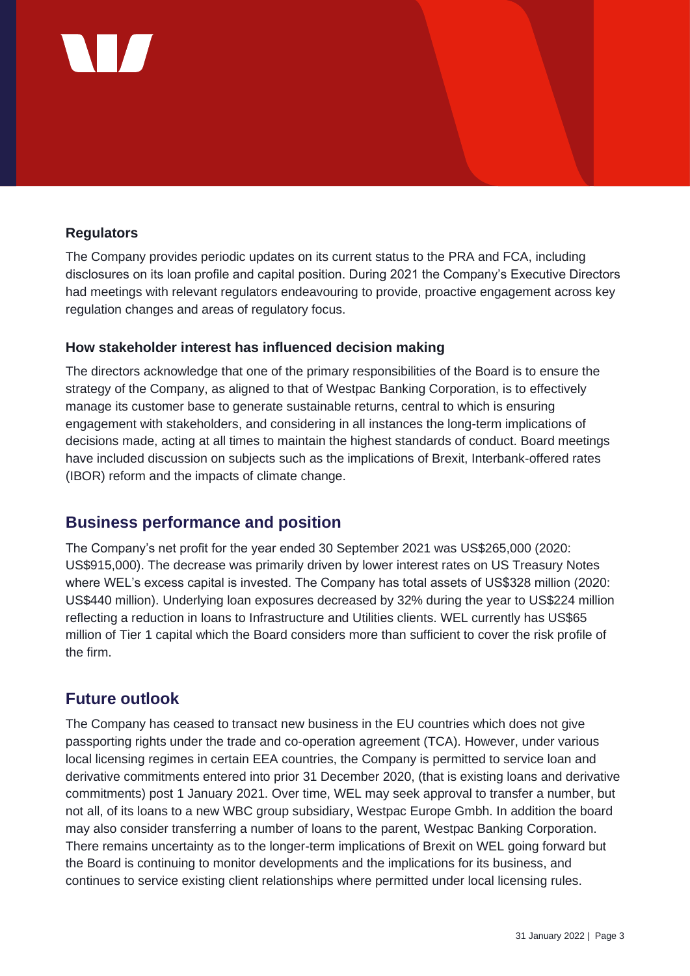

#### **Regulators**

The Company provides periodic updates on its current status to the PRA and FCA, including disclosures on its loan profile and capital position. During 2021 the Company's Executive Directors had meetings with relevant regulators endeavouring to provide, proactive engagement across key regulation changes and areas of regulatory focus.

#### **How stakeholder interest has influenced decision making**

The directors acknowledge that one of the primary responsibilities of the Board is to ensure the strategy of the Company, as aligned to that of Westpac Banking Corporation, is to effectively manage its customer base to generate sustainable returns, central to which is ensuring engagement with stakeholders, and considering in all instances the long-term implications of decisions made, acting at all times to maintain the highest standards of conduct. Board meetings have included discussion on subjects such as the implications of Brexit, Interbank-offered rates (IBOR) reform and the impacts of climate change.

### **Business performance and position**

The Company's net profit for the year ended 30 September 2021 was US\$265,000 (2020: US\$915,000). The decrease was primarily driven by lower interest rates on US Treasury Notes where WEL's excess capital is invested. The Company has total assets of US\$328 million (2020: US\$440 million). Underlying loan exposures decreased by 32% during the year to US\$224 million reflecting a reduction in loans to Infrastructure and Utilities clients. WEL currently has US\$65 million of Tier 1 capital which the Board considers more than sufficient to cover the risk profile of the firm.

#### **Future outlook**

The Company has ceased to transact new business in the EU countries which does not give passporting rights under the trade and co-operation agreement (TCA). However, under various local licensing regimes in certain EEA countries, the Company is permitted to service loan and derivative commitments entered into prior 31 December 2020, (that is existing loans and derivative commitments) post 1 January 2021. Over time, WEL may seek approval to transfer a number, but not all, of its loans to a new WBC group subsidiary, Westpac Europe Gmbh. In addition the board may also consider transferring a number of loans to the parent, Westpac Banking Corporation. There remains uncertainty as to the longer-term implications of Brexit on WEL going forward but the Board is continuing to monitor developments and the implications for its business, and continues to service existing client relationships where permitted under local licensing rules.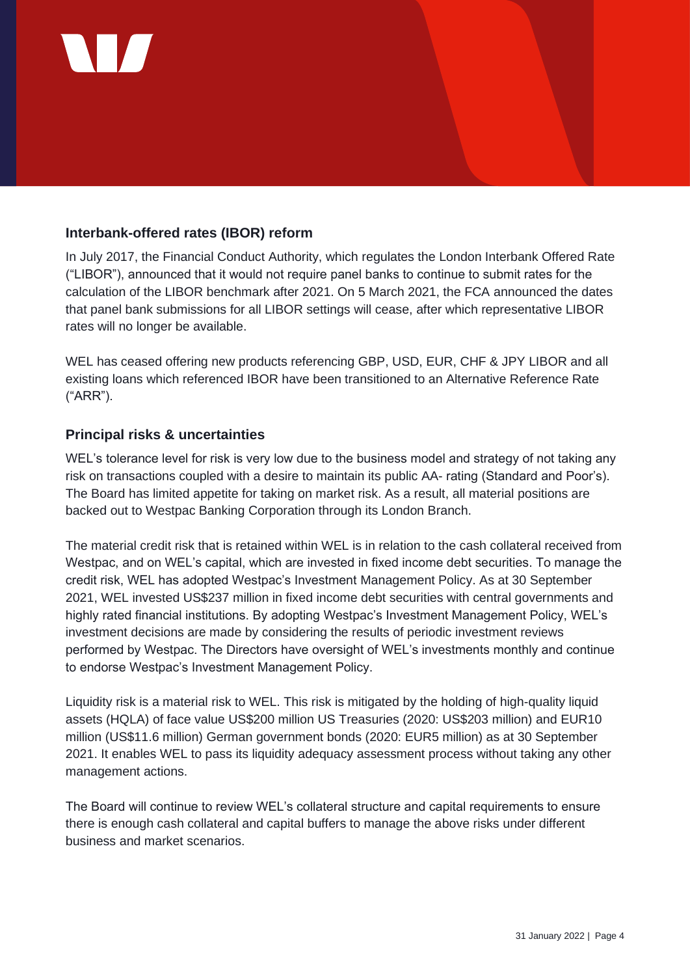

#### **Interbank-offered rates (IBOR) reform**

In July 2017, the Financial Conduct Authority, which regulates the London Interbank Offered Rate ("LIBOR"), announced that it would not require panel banks to continue to submit rates for the calculation of the LIBOR benchmark after 2021. On 5 March 2021, the FCA announced the dates that panel bank submissions for all LIBOR settings will cease, after which representative LIBOR rates will no longer be available.

WEL has ceased offering new products referencing GBP, USD, EUR, CHF & JPY LIBOR and all existing loans which referenced IBOR have been transitioned to an Alternative Reference Rate ("ARR").

#### **Principal risks & uncertainties**

WEL's tolerance level for risk is very low due to the business model and strategy of not taking any risk on transactions coupled with a desire to maintain its public AA- rating (Standard and Poor's). The Board has limited appetite for taking on market risk. As a result, all material positions are backed out to Westpac Banking Corporation through its London Branch.

The material credit risk that is retained within WEL is in relation to the cash collateral received from Westpac, and on WEL's capital, which are invested in fixed income debt securities. To manage the credit risk, WEL has adopted Westpac's Investment Management Policy. As at 30 September 2021, WEL invested US\$237 million in fixed income debt securities with central governments and highly rated financial institutions. By adopting Westpac's Investment Management Policy, WEL's investment decisions are made by considering the results of periodic investment reviews performed by Westpac. The Directors have oversight of WEL's investments monthly and continue to endorse Westpac's Investment Management Policy.

Liquidity risk is a material risk to WEL. This risk is mitigated by the holding of high-quality liquid assets (HQLA) of face value US\$200 million US Treasuries (2020: US\$203 million) and EUR10 million (US\$11.6 million) German government bonds (2020: EUR5 million) as at 30 September 2021. It enables WEL to pass its liquidity adequacy assessment process without taking any other management actions.

The Board will continue to review WEL's collateral structure and capital requirements to ensure there is enough cash collateral and capital buffers to manage the above risks under different business and market scenarios.